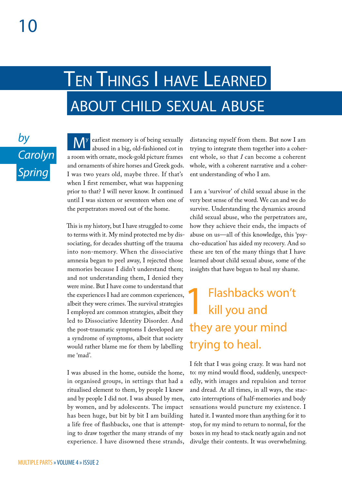# Ten Things I have Learned about child sexual abuse

My earliest memory is of being sexually abused in a big, old-fashioned cot in a room with ornate, mock-gold picture frames and ornaments of shire horses and Greek gods. I was two years old, maybe three. If that's when I first remember, what was happening prior to that? I will never know. It continued until I was sixteen or seventeen when one of the perpetrators moved out of the home.

This is my history, but I have struggled to come to terms with it. My mind protected me by dissociating, for decades shutting off the trauma into non-memory. When the dissociative amnesia began to peel away, I rejected those memories because I didn't understand them; and not understanding them, I denied they were mine. But I have come to understand that the experiences I had are common experiences, albeit they were crimes. The survival strategies I employed are common strategies, albeit they led to Dissociative Identity Disorder. And the post-traumatic symptoms I developed are a syndrome of symptoms, albeit that society would rather blame me for them by labelling me 'mad'.

I was abused in the home, outside the home, in organised groups, in settings that had a ritualised element to them, by people I knew and by people I did not. I was abused by men, by women, and by adolescents. The impact has been huge, but bit by bit I am building a life free of flashbacks, one that is attempting to draw together the many strands of my experience. I have disowned these strands,

distancing myself from them. But now I am trying to integrate them together into a coherent whole, so that *I* can become a coherent whole, with a coherent narrative and a coherent understanding of who I am.

I am a 'survivor' of child sexual abuse in the very best sense of the word. We can and we do survive. Understanding the dynamics around child sexual abuse, who the perpetrators are, how they achieve their ends, the impacts of abuse on us—all of this knowledge, this 'psycho-education' has aided my recovery. And so these are ten of the many things that I have learned about child sexual abuse, some of the insights that have begun to heal my shame.

### Flashbacks won't kill you and they are your mind trying to heal. 1

I felt that I was going crazy. It was hard not to: my mind would flood, suddenly, unexpectedly, with images and repulsion and terror and dread. At all times, in all ways, the staccato interruptions of half-memories and body sensations would puncture my existence. I hated it. I wanted more than anything for it to stop, for my mind to return to normal, for the boxes in my head to stack neatly again and not divulge their contents. It was overwhelming.

*by Carolyn Spring*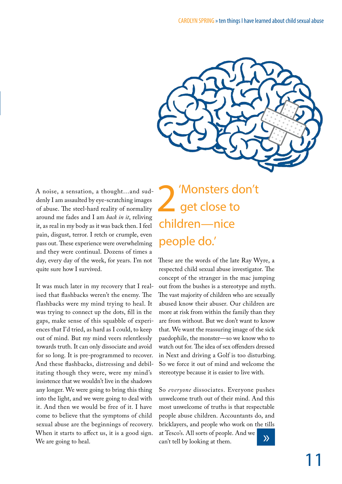

A noise, a sensation, a thought…and suddenly I am assaulted by eye-scratching images of abuse. The steel-hard reality of normality around me fades and I am *back in it*, reliving it, as real in my body as it was back then. I feel pain, disgust, terror. I retch or crumple, even pass out. These experience were overwhelming and they were continual. Dozens of times a day, every day of the week, for years. I'm not quite sure how I survived.

It was much later in my recovery that I realised that flashbacks weren't the enemy. The flashbacks were my mind trying to heal. It was trying to connect up the dots, fill in the gaps, make sense of this squabble of experiences that I'd tried, as hard as I could, to keep out of mind. But my mind veers relentlessly towards truth. It can only dissociate and avoid for so long. It is pre-programmed to recover. And these flashbacks, distressing and debilitating though they were, were my mind's insistence that we wouldn't live in the shadows any longer. We were going to bring this thing into the light, and we were going to deal with it. And then we would be free of it. I have come to believe that the symptoms of child sexual abuse are the beginnings of recovery. When it starts to affect us, it is a good sign. We are going to heal.

'Monsters don't get close to children—nice people do.' 2

These are the words of the late Ray Wyre, a respected child sexual abuse investigator. The concept of the stranger in the mac jumping out from the bushes is a stereotype and myth. The vast majority of children who are sexually abused know their abuser. Our children are more at risk from within the family than they are from without. But we don't want to know that. We want the reassuring image of the sick paedophile, the monster—so we know who to watch out for. The idea of sex offenders dressed in Next and driving a Golf is too disturbing. So we force it out of mind and welcome the stereotype because it is easier to live with.

So *everyone* dissociates. Everyone pushes unwelcome truth out of their mind. And this most unwelcome of truths is that respectable people abuse children. Accountants do, and bricklayers, and people who work on the tills at Tesco's. All sorts of people. And we can't tell by looking at them.  $\lambda$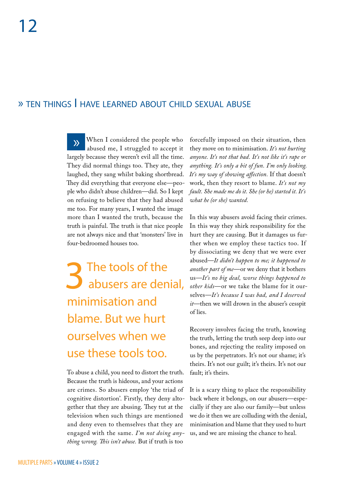#### » ten things I have learned about child sexual abuse

» When I considered the people who abused me, I struggled to accept it largely because they weren't evil all the time. They did normal things too. They ate, they laughed, they sang whilst baking shortbread. They did everything that everyone else—people who didn't abuse children—did. So I kept on refusing to believe that they had abused me too. For many years, I wanted the image more than I wanted the truth, because the truth is painful. The truth is that nice people are not always nice and that 'monsters' live in four-bedroomed houses too.

The tools of the abusers are denial, minimisation and blame. But we hurt ourselves when we use these tools too. 3

To abuse a child, you need to distort the truth. Because the truth is hideous, and your actions are crimes. So abusers employ 'the triad of cognitive distortion'. Firstly, they deny altogether that they are abusing. They tut at the television when such things are mentioned and deny even to themselves that they are engaged with the same. *I'm not doing anything wrong. This isn't abuse.* But if truth is too

forcefully imposed on their situation, then they move on to minimisation. *It's not hurting anyone. It's not that bad. It's not like it's rape or anything. It's only a bit of fun. I'm only looking. It's my way of showing affection.* If that doesn't work, then they resort to blame. *It's not my fault. She made me do it. She (or he) started it. It's what he (or she) wanted.*

In this way abusers avoid facing their crimes. In this way they shirk responsibility for the hurt they are causing. But it damages us further when we employ these tactics too. If by dissociating we deny that we were ever abused—*It didn't happen to me; it happened to another part of me*—or we deny that it bothers us—*It's no big deal, worse things happened to other kids*—or we take the blame for it ourselves—*It's because I was bad, and I deserved it*—then we will drown in the abuser's cesspit of lies.

Recovery involves facing the truth, knowing the truth, letting the truth seep deep into our bones, and rejecting the reality imposed on us by the perpetrators. It's not our shame; it's theirs. It's not our guilt; it's theirs. It's not our fault; it's theirs.

It is a scary thing to place the responsibility back where it belongs, on our abusers—especially if they are also our family—but unless we do it then we are colluding with the denial, minimisation and blame that they used to hurt us, and we are missing the chance to heal.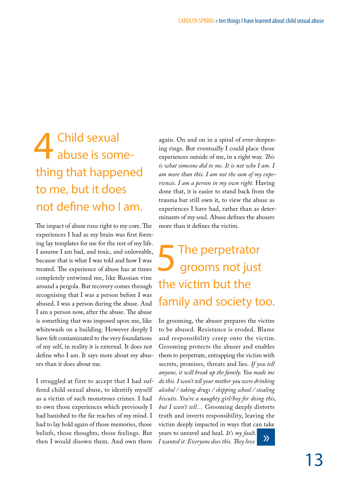### Child sexual abuse is something that happened to me, but it does not define who I am. 4

The impact of abuse runs right to my core. The experiences I had as my brain was first forming lay templates for me for the rest of my life. I assume I am bad, and toxic, and unloveable, because that is what I was told and how I was treated. The experience of abuse has at times completely entwined me, like Russian vine around a pergola. But recovery comes through recognising that I was a person before I was abused. I was a person during the abuse. And I am a person now, after the abuse. The abuse is something that was imposed upon me, like whitewash on a building. However deeply I have felt contaminated to the very foundations of my self, in reality it is external. It does not define who I am. It says more about my abusers than it does about me.

I struggled at first to accept that I had suffered child sexual abuse, to identify myself as a victim of such monstrous crimes. I had to own those experiences which previously I had banished to the far reaches of my mind. I had to lay hold again of those memories, those beliefs, those thoughts, those feelings. But then I would disown them. And own them

again. On and on in a spiral of ever-deepening rings. But eventually I could place those experiences outside of me, in a right way. *This is what someone did to me. It is not who I am. I am more than this. I am not the sum of my experiences. I am a person in my own right.* Having done that, it is easier to stand back from the trauma but still own it, to view the abuse as experiences I have had, rather than as determinants of my soul. Abuse defines the abusers more than it defines the victim.

### $\Gamma$  The perpetrator grooms not just the victim but the family and society too. 5

In grooming, the abuser prepares the victim to be abused. Resistance is eroded. Blame and responsibility creep onto the victim. Grooming protects the abuser and enables them to perpetrate, entrapping the victim with secrets, promises, threats and lies. *If you tell anyone, it will break up the family. You made me do this. I won't tell your mother you were drinking alcohol / taking drugs / skipping school / stealing biscuits. You're a naughty girl/boy for doing this, but I won't tell…* Grooming deeply distorts truth and inverts responsibility, leaving the victim deeply impacted in ways that can take years to unravel and heal. *It's my fault.* 

*I wanted it. Everyone does this. They love* 

 $\lambda$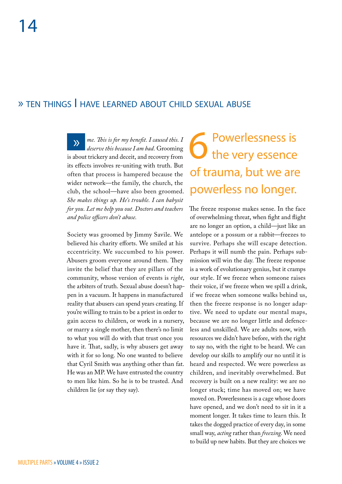#### » ten things I have learned about child sexual abuse

» *me. This is for my benefit. I caused this. I deserve this because I am bad.* Grooming is about trickery and deceit, and recovery from its effects involves re-uniting with truth. But often that process is hampered because the wider network—the family, the church, the club, the school—have also been groomed. *She makes things up. He's trouble. I can babysit for you. Let me help you out. Doctors and teachers and police officers don't abuse.*

Society was groomed by Jimmy Savile. We believed his charity efforts. We smiled at his eccentricity. We succumbed to his power. Abusers groom everyone around them. They invite the belief that they are pillars of the community, whose version of events is *right*, the arbiters of truth. Sexual abuse doesn't happen in a vacuum. It happens in manufactured reality that abusers can spend years creating. If you're willing to train to be a priest in order to gain access to children, or work in a nursery, or marry a single mother, then there's no limit to what you will do with that trust once you have it. That, sadly, is why abusers get away with it for so long. No one wanted to believe that Cyril Smith was anything other than fat. He was an MP. We have entrusted the country to men like him. So he is to be trusted. And children lie (or say they say).

### Powerlessness is the very essence of trauma, but we are powerless no longer. 6

The freeze response makes sense. In the face of overwhelming threat, when fight and flight are no longer an option, a child—just like an antelope or a possum or a rabbit—freezes to survive. Perhaps she will escape detection. Perhaps it will numb the pain. Perhaps submission will win the day. The freeze response is a work of evolutionary genius, but it cramps our style. If we freeze when someone raises their voice, if we freeze when we spill a drink, if we freeze when someone walks behind us, then the freeze response is no longer adaptive. We need to update our mental maps, because we are no longer little and defenceless and unskilled. We are adults now, with resources we didn't have before, with the right to say no, with the right to be heard. We can develop our skills to amplify our no until it is heard and respected. We were powerless as children, and inevitably overwhelmed. But recovery is built on a new reality: we are no longer stuck; time has moved on; we have moved on. Powerlessness is a cage whose doors have opened, and we don't need to sit in it a moment longer. It takes time to learn this. It takes the dogged practice of every day, in some small way, *acting* rather than *freezing*. We need to build up new habits. But they are choices we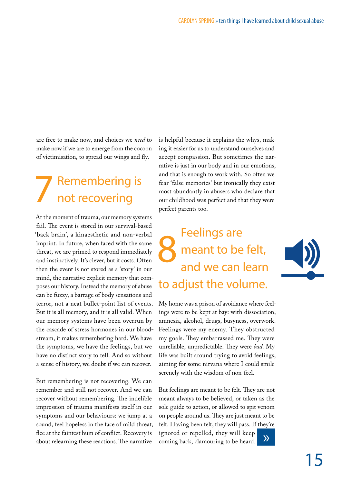are free to make now, and choices we *need* to make now if we are to emerge from the cocoon of victimisation, to spread our wings and fly.

#### Remembering is not recovering 7

At the moment of trauma, our memory systems fail. The event is stored in our survival-based 'back brain', a kinaesthetic and non-verbal imprint. In future, when faced with the same threat, we are primed to respond immediately and instinctively. It's clever, but it costs. Often then the event is not stored as a 'story' in our mind, the narrative explicit memory that composes our history. Instead the memory of abuse can be fuzzy, a barrage of body sensations and terror, not a neat bullet-point list of events. But it is all memory, and it is all valid. When our memory systems have been overrun by the cascade of stress hormones in our bloodstream, it makes remembering hard. We have the symptoms, we have the feelings, but we have no distinct story to tell. And so without a sense of history, we doubt if we can recover.

But remembering is not recovering. We can remember and still not recover. And we can recover without remembering. The indelible impression of trauma manifests itself in our symptoms and our behaviours: we jump at a sound, feel hopeless in the face of mild threat, flee at the faintest hum of conflict. Recovery is about relearning these reactions. The narrative

is helpful because it explains the whys, making it easier for us to understand ourselves and accept compassion. But sometimes the narrative is just in our body and in our emotions, and that is enough to work with. So often we fear 'false memories' but ironically they exist most abundantly in abusers who declare that our childhood was perfect and that they were perfect parents too.

#### Feelings are meant to be felt, and we can learn to adjust the volume. 8



My home was a prison of avoidance where feelings were to be kept at bay: with dissociation, amnesia, alcohol, drugs, busyness, overwork. Feelings were my enemy. They obstructed my goals. They embarrassed me. They were unreliable, unpredictable. They were *bad*. My life was built around trying to avoid feelings, aiming for some nirvana where I could smile serenely with the wisdom of non-feel.

But feelings are meant to be felt. They are not meant always to be believed, or taken as the sole guide to action, or allowed to spit venom on people around us. They are just meant to be felt. Having been felt, they will pass. If they're ignored or repelled, they will keep coming back, clamouring to be heard.  $\gg$ 

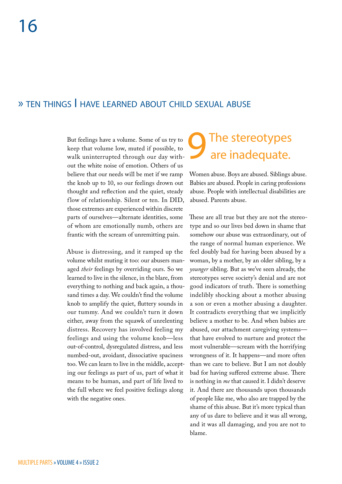#### » ten things I have learned about child sexual abuse

But feelings have a volume. Some of us try to keep that volume low, muted if possible, to walk uninterrupted through our day without the white noise of emotion. Others of us believe that our needs will be met if we ramp the knob up to 10, so our feelings drown out thought and reflection and the quiet, steady flow of relationship. Silent or ten. In DID, those extremes are experienced within discrete parts of ourselves—alternate identities, some of whom are emotionally numb, others are frantic with the scream of unremitting pain.

Abuse is distressing, and it ramped up the volume whilst muting it too: our abusers managed *their* feelings by overriding ours. So we learned to live in the silence, in the blare, from everything to nothing and back again, a thousand times a day. We couldn't find the volume knob to amplify the quiet, fluttery sounds in our tummy. And we couldn't turn it down either, away from the squawk of unrelenting distress. Recovery has involved feeling my feelings and using the volume knob—less out-of-control, dysregulated distress, and less numbed-out, avoidant, dissociative spaciness too. We can learn to live in the middle, accepting our feelings as part of us, part of what it means to be human, and part of life lived to the full where we feel positive feelings along with the negative ones.

#### The stereotypes are inadequate. 9

Women abuse. Boys are abused. Siblings abuse. Babies are abused. People in caring professions abuse. People with intellectual disabilities are abused. Parents abuse.

These are all true but they are not the stereotype and so our lives bed down in shame that somehow our abuse was extraordinary, out of the range of normal human experience. We feel doubly bad for having been abused by a woman, by a mother, by an older sibling, by a *younger* sibling. But as we've seen already, the stereotypes serve society's denial and are not good indicators of truth. There is something indelibly shocking about a mother abusing a son or even a mother abusing a daughter. It contradicts everything that we implicitly believe a mother to be. And when babies are abused, our attachment caregiving systems that have evolved to nurture and protect the most vulnerable—scream with the horrifying wrongness of it. It happens—and more often than we care to believe. But I am not doubly bad for having suffered extreme abuse. There is nothing in *me* that caused it. I didn't deserve it. And there are thousands upon thousands of people like me, who also are trapped by the shame of this abuse. But it's more typical than any of us dare to believe and it was all wrong, and it was all damaging, and you are not to blame.